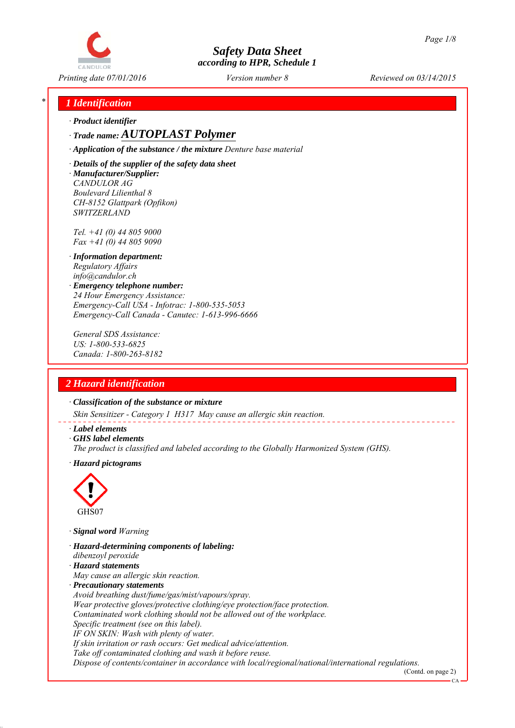

*Printing date 07/01/2016 Reviewed on 03/14/2015 Version number 8*

## *\* 1 Identification*

*∙ Product identifier*

*∙ Trade name: AUTOPLAST Polymer*

*∙ Application of the substance / the mixture Denture base material*

*∙ Details of the supplier of the safety data sheet ∙ Manufacturer/Supplier: CANDULOR AG Boulevard Lilienthal 8 CH-8152 Glattpark (Opfikon) SWITZERLAND*

*Tel. +41 (0) 44 805 9000 Fax +41 (0) 44 805 9090*

- *∙ Information department: Regulatory Affairs info@candulor.ch*
- *∙ Emergency telephone number: 24 Hour Emergency Assistance: Emergency-Call USA - Infotrac: 1-800-535-5053 Emergency-Call Canada - Canutec: 1-613-996-6666*

*General SDS Assistance: US: 1-800-533-6825 Canada: 1-800-263-8182*

## *2 Hazard identification*

*∙ Classification of the substance or mixture*

*Skin Sensitizer - Category 1 H317 May cause an allergic skin reaction.*

- *∙ Label elements*
- *∙ GHS label elements*
- *The product is classified and labeled according to the Globally Harmonized System (GHS).*
- *∙ Hazard pictograms*



*∙ Signal word Warning*

- *∙ Hazard-determining components of labeling:*
- *dibenzoyl peroxide*
- *∙ Hazard statements*
- *May cause an allergic skin reaction.*
- *∙ Precautionary statements*
- *Avoid breathing dust/fume/gas/mist/vapours/spray.*

*Wear protective gloves/protective clothing/eye protection/face protection.*

*Contaminated work clothing should not be allowed out of the workplace.*

- *Specific treatment (see on this label).*
- *IF ON SKIN: Wash with plenty of water.*

*If skin irritation or rash occurs: Get medical advice/attention.*

*Take off contaminated clothing and wash it before reuse.*

*Dispose of contents/container in accordance with local/regional/national/international regulations.*

(Contd. on page 2) CA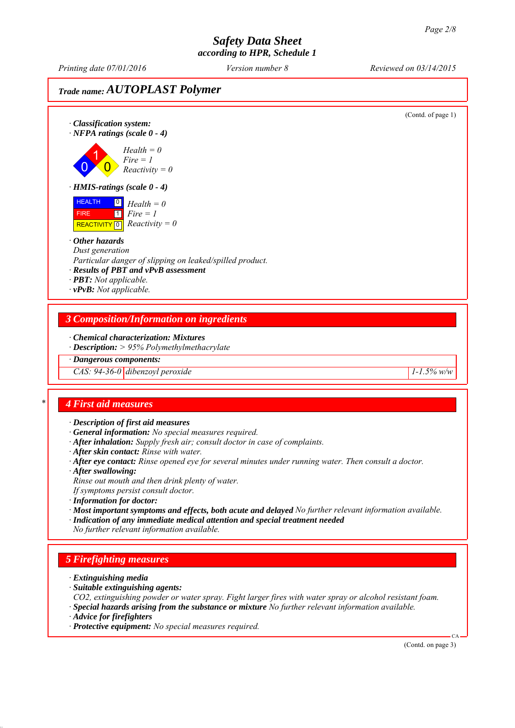*Printing date 07/01/2016 Reviewed on 03/14/2015 Version number 8*

## *Trade name: AUTOPLAST Polymer*

(Contd. of page 1) *∙ Classification system: ∙ NFPA ratings (scale 0 - 4)* 0 1  $\overline{\mathbf{0}}$ *Health = 0 Fire = 1 Reactivity = 0 ∙ HMIS-ratings (scale 0 - 4)* HEALTH FIRE  $\overline{REACTIVITY \, 0}$  *Reactivity = 0* 0 *Health = 0*  $\overline{1}$ *Fire = 1 ∙ Other hazards Dust generation Particular danger of slipping on leaked/spilled product. ∙ Results of PBT and vPvB assessment ∙ PBT: Not applicable. ∙ vPvB: Not applicable. 3 Composition/Information on ingredients ∙ Chemical characterization: Mixtures ∙ Description: > 95% Polymethylmethacrylate ∙ Dangerous components: CAS: 94-36-0 dibenzoyl peroxide* 1-1.5% w/w *\* 4 First aid measures ∙ Description of first aid measures ∙ General information: No special measures required. ∙ After inhalation: Supply fresh air; consult doctor in case of complaints. ∙ After skin contact: Rinse with water. ∙ After eye contact: Rinse opened eye for several minutes under running water. Then consult a doctor. ∙ After swallowing: Rinse out mouth and then drink plenty of water. If symptoms persist consult doctor. ∙ Information for doctor: ∙ Most important symptoms and effects, both acute and delayed No further relevant information available. ∙ Indication of any immediate medical attention and special treatment needed No further relevant information available. 5 Firefighting measures ∙ Extinguishing media ∙ Suitable extinguishing agents:*

*CO2, extinguishing powder or water spray. Fight larger fires with water spray or alcohol resistant foam. ∙ Special hazards arising from the substance or mixture No further relevant information available.*

*∙ Advice for firefighters*

*∙ Protective equipment: No special measures required.*

(Contd. on page 3)

CA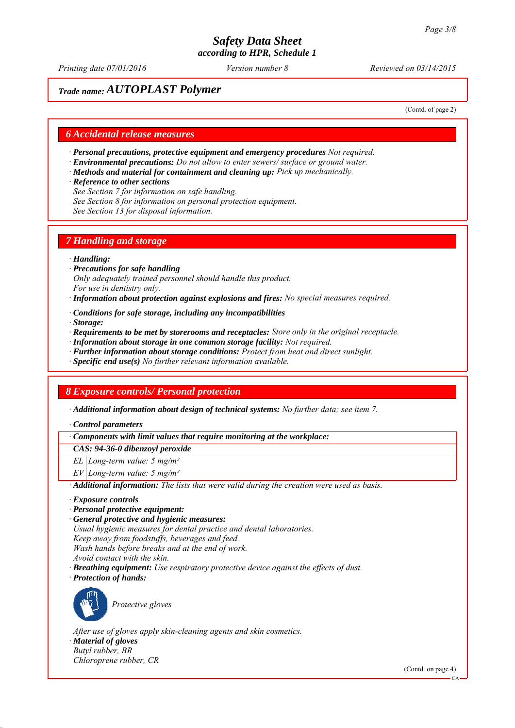*Printing date 07/01/2016 Reviewed on 03/14/2015 Version number 8*

# *Trade name: AUTOPLAST Polymer*

(Contd. of page 2)

#### *6 Accidental release measures*

- *∙ Personal precautions, protective equipment and emergency procedures Not required.*
- *∙ Environmental precautions: Do not allow to enter sewers/ surface or ground water.*
- *∙ Methods and material for containment and cleaning up: Pick up mechanically.*
- *∙ Reference to other sections*
- *See Section 7 for information on safe handling.*
- *See Section 8 for information on personal protection equipment.*
- *See Section 13 for disposal information.*

#### *7 Handling and storage*

#### *∙ Handling:*

- *∙ Precautions for safe handling Only adequately trained personnel should handle this product. For use in dentistry only.*
- *∙ Information about protection against explosions and fires: No special measures required.*
- *∙ Conditions for safe storage, including any incompatibilities*
- *∙ Storage:*
- *∙ Requirements to be met by storerooms and receptacles: Store only in the original receptacle.*
- *∙ Information about storage in one common storage facility: Not required.*
- *∙ Further information about storage conditions: Protect from heat and direct sunlight.*
- *∙ Specific end use(s) No further relevant information available.*

#### *8 Exposure controls/ Personal protection*

*∙ Additional information about design of technical systems: No further data; see item 7.*

*∙ Control parameters*

*∙ Components with limit values that require monitoring at the workplace:*

*CAS: 94-36-0 dibenzoyl peroxide*

*EL Long-term value: 5 mg/m³*

*EV Long-term value: 5 mg/m³*

*∙ Additional information: The lists that were valid during the creation were used as basis.*

- *∙ Exposure controls*
- *∙ Personal protective equipment:*

*∙ General protective and hygienic measures: Usual hygienic measures for dental practice and dental laboratories. Keep away from foodstuffs, beverages and feed. Wash hands before breaks and at the end of work. Avoid contact with the skin. ∙ Breathing equipment: Use respiratory protective device against the effects of dust.*

*∙ Protection of hands:*



*Protective gloves*

*After use of gloves apply skin-cleaning agents and skin cosmetics.*

*∙ Material of gloves Butyl rubber, BR*

*Chloroprene rubber, CR*

(Contd. on page 4)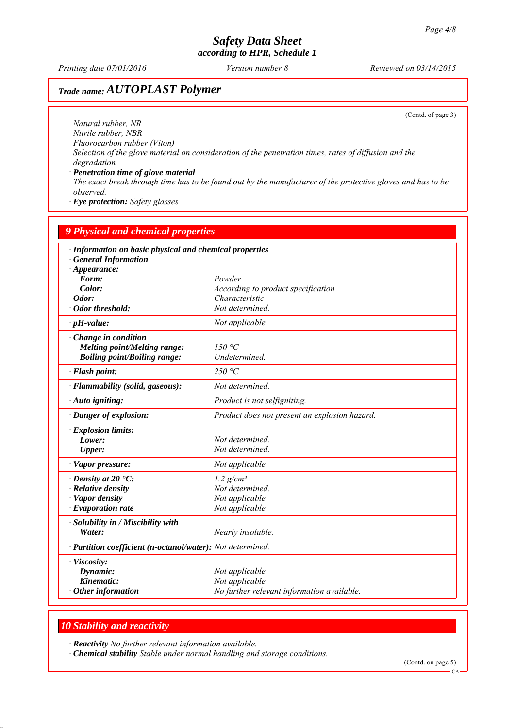*Printing date 07/01/2016 Reviewed on 03/14/2015 Version number 8*

# *Trade name: AUTOPLAST Polymer*

(Contd. of page 3)

*Natural rubber, NR Nitrile rubber, NBR Fluorocarbon rubber (Viton) Selection of the glove material on consideration of the penetration times, rates of diffusion and the degradation*

*∙ Penetration time of glove material The exact break through time has to be found out by the manufacturer of the protective gloves and has to be observed.*

*∙ Eye protection: Safety glasses*

| <b>9 Physical and chemical properties</b>                                                               |                                                                                  |  |
|---------------------------------------------------------------------------------------------------------|----------------------------------------------------------------------------------|--|
| · Information on basic physical and chemical properties<br>· General Information<br>$\cdot$ Appearance: |                                                                                  |  |
| Form:                                                                                                   | Powder                                                                           |  |
| Color:                                                                                                  | According to product specification                                               |  |
| $\cdot$ Odor:                                                                                           | Characteristic                                                                   |  |
| · Odor threshold:                                                                                       | Not determined.                                                                  |  |
| $\cdot$ pH-value:                                                                                       | Not applicable.                                                                  |  |
| Change in condition<br><b>Melting point/Melting range:</b><br><b>Boiling point/Boiling range:</b>       | 150 °C<br>Undetermined.                                                          |  |
| · Flash point:                                                                                          | 250 °C                                                                           |  |
| · Flammability (solid, gaseous):                                                                        | Not determined.                                                                  |  |
| · Auto igniting:                                                                                        | Product is not selfigniting.                                                     |  |
| · Danger of explosion:                                                                                  | Product does not present an explosion hazard.                                    |  |
| · Explosion limits:                                                                                     |                                                                                  |  |
| Lower:                                                                                                  | Not determined.                                                                  |  |
| <b>Upper:</b>                                                                                           | Not determined.                                                                  |  |
| · Vapor pressure:                                                                                       | Not applicable.                                                                  |  |
| $\cdot$ Density at 20 $\cdot$ C:                                                                        | $1.2$ g/cm <sup>3</sup>                                                          |  |
| · Relative density                                                                                      | Not determined.                                                                  |  |
| · Vapor density                                                                                         | Not applicable.                                                                  |  |
| $\cdot$ Evaporation rate                                                                                | Not applicable.                                                                  |  |
| · Solubility in / Miscibility with                                                                      |                                                                                  |  |
| Water:                                                                                                  | Nearly insoluble.                                                                |  |
| · Partition coefficient (n-octanol/water): Not determined.                                              |                                                                                  |  |
| · Viscosity:<br>Dynamic:<br>Kinematic:<br>$\cdot$ Other information                                     | Not applicable.<br>Not applicable.<br>No further relevant information available. |  |

#### *10 Stability and reactivity*

*∙ Reactivity No further relevant information available.*

*∙ Chemical stability Stable under normal handling and storage conditions.*

(Contd. on page 5)

 $CA$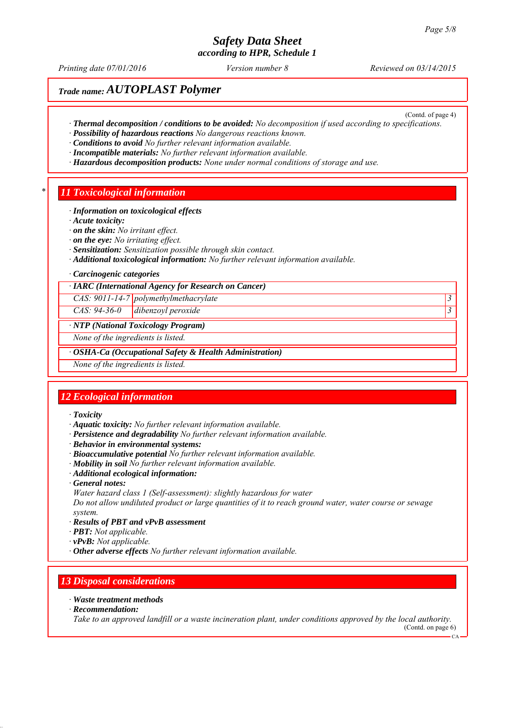# *Safety Data Sheet*

*according to HPR, Schedule 1*

*Printing date 07/01/2016 Reviewed on 03/14/2015 Version number 8*

(Contd. of page 4)

# *Trade name: AUTOPLAST Polymer*

- *∙ Thermal decomposition / conditions to be avoided: No decomposition if used according to specifications.*
- *∙ Possibility of hazardous reactions No dangerous reactions known.*
- *∙ Conditions to avoid No further relevant information available.*
- *∙ Incompatible materials: No further relevant information available.*
- *∙ Hazardous decomposition products: None under normal conditions of storage and use.*

#### *\* 11 Toxicological information*

- *∙ Information on toxicological effects*
- *∙ Acute toxicity:*
- *∙ on the skin: No irritant effect.*
- *∙ on the eye: No irritating effect.*
- *∙ Sensitization: Sensitization possible through skin contact.*
- *∙ Additional toxicological information: No further relevant information available.*
- *∙ Carcinogenic categories*
- *∙ IARC (International Agency for Research on Cancer)*

*CAS: 9011-14-7 polymethylmethacrylate 3* 

*CAS: 94-36-0 dibenzoyl peroxide 3* 

#### *∙ NTP (National Toxicology Program)*

*None of the ingredients is listed.*

*∙ OSHA-Ca (Occupational Safety & Health Administration)*

*None of the ingredients is listed.*

#### *12 Ecological information*

- *∙ Toxicity*
- *∙ Aquatic toxicity: No further relevant information available.*
- *∙ Persistence and degradability No further relevant information available.*
- *∙ Behavior in environmental systems:*
- *∙ Bioaccumulative potential No further relevant information available.*
- *∙ Mobility in soil No further relevant information available.*
- *∙ Additional ecological information:*
- *∙ General notes:*
- *Water hazard class 1 (Self-assessment): slightly hazardous for water*

*Do not allow undiluted product or large quantities of it to reach ground water, water course or sewage system.*

- *∙ Results of PBT and vPvB assessment*
- *∙ PBT: Not applicable.*
- *∙ vPvB: Not applicable.*
- *∙ Other adverse effects No further relevant information available.*

#### *13 Disposal considerations*

#### *∙ Waste treatment methods*

*∙ Recommendation:*

*Take to an approved landfill or a waste incineration plant, under conditions approved by the local authority.* (Contd. on page 6)

 $CA$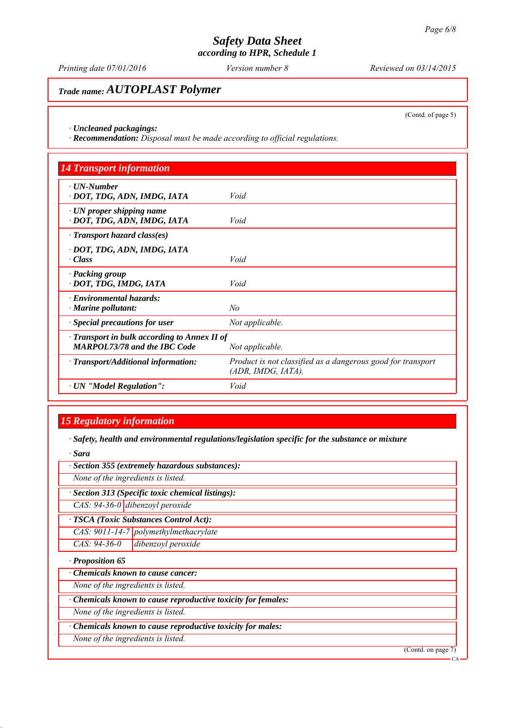*Printing date 07/01/2016 Reviewed on 03/14/2015 Version number 8*

# *Trade name: AUTOPLAST Polymer*

(Contd. of page 5)

CA

*∙ Uncleaned packagings:*

*∙ Recommendation: Disposal must be made according to official regulations.*

| <b>14 Transport information</b>                                                           |                                                                                   |
|-------------------------------------------------------------------------------------------|-----------------------------------------------------------------------------------|
| $\cdot$ UN-Number<br>· DOT, TDG, ADN, IMDG, IATA                                          | Void                                                                              |
| $\cdot$ UN proper shipping name<br>· DOT, TDG, ADN, IMDG, IATA                            | Void                                                                              |
| $\cdot$ Transport hazard class(es)                                                        |                                                                                   |
| · DOT, TDG, ADN, IMDG, IATA<br>$\cdot Class$                                              | Void                                                                              |
| · Packing group<br>· DOT, TDG, IMDG, IATA                                                 | Void                                                                              |
| · Environmental hazards:<br>$\cdot$ Marine pollutant:                                     | No                                                                                |
| · Special precautions for user                                                            | Not applicable.                                                                   |
| $\cdot$ Transport in bulk according to Annex II of<br><b>MARPOL73/78 and the IBC Code</b> | Not applicable.                                                                   |
| · Transport/Additional information:                                                       | Product is not classified as a dangerous good for transport<br>(ADR, IMDG, IATA). |
| · UN "Model Regulation":                                                                  | Void                                                                              |

## *15 Regulatory information*

*∙ Safety, health and environmental regulations/legislation specific for the substance or mixture*

*∙ Sara*

| · Section 355 (extremely hazardous substances):             |                    |
|-------------------------------------------------------------|--------------------|
| None of the ingredients is listed.                          |                    |
| · Section 313 (Specific toxic chemical listings):           |                    |
| $CAS: 94-36-0$ dibenzoyl peroxide                           |                    |
| · TSCA (Toxic Substances Control Act):                      |                    |
| $CAS: 9011-14-7$ polymethylmethacrylate                     |                    |
| $CAS: 94-36-0$<br>dibenzoyl peroxide                        |                    |
| $\cdot$ Proposition 65                                      |                    |
| <b>Chemicals known to cause cancer:</b>                     |                    |
| None of the ingredients is listed.                          |                    |
| Chemicals known to cause reproductive toxicity for females: |                    |
| None of the ingredients is listed.                          |                    |
| · Chemicals known to cause reproductive toxicity for males: |                    |
| None of the ingredients is listed.                          |                    |
|                                                             | (Contd. on page 7) |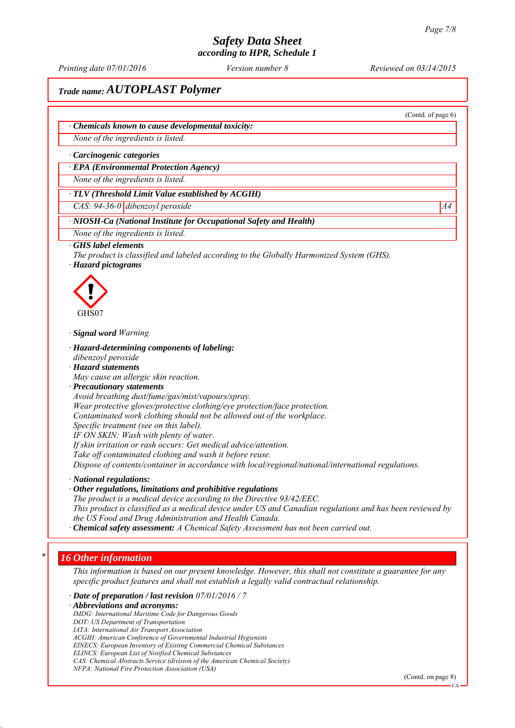*Printing date 07/01/2016 Reviewed on 03/14/2015 Version number 8*

(Contd. of page 6)

## *Trade name: AUTOPLAST Polymer*

*∙ Chemicals known to cause developmental toxicity:*

*None of the ingredients is listed.*

*∙ Carcinogenic categories*

*∙ EPA (Environmental Protection Agency)*

*None of the ingredients is listed.*

*∙ TLV (Threshold Limit Value established by ACGIH)*

*CAS: 94-36-0 dibenzoyl peroxide* A4<sup>4</sup>

#### *∙ NIOSH-Ca (National Institute for Occupational Safety and Health)*

*None of the ingredients is listed.*

#### *∙ GHS label elements*

*The product is classified and labeled according to the Globally Harmonized System (GHS). ∙ Hazard pictograms*



*∙ Signal word Warning*

*∙ Hazard-determining components of labeling:*

*dibenzoyl peroxide ∙ Hazard statements*

*May cause an allergic skin reaction.*

*∙ Precautionary statements*

*Avoid breathing dust/fume/gas/mist/vapours/spray. Wear protective gloves/protective clothing/eye protection/face protection. Contaminated work clothing should not be allowed out of the workplace.*

*Specific treatment (see on this label).*

*IF ON SKIN: Wash with plenty of water.*

*If skin irritation or rash occurs: Get medical advice/attention.*

*Take off contaminated clothing and wash it before reuse.*

*Dispose of contents/container in accordance with local/regional/national/international regulations.*

*∙ National regulations:*

*∙ Other regulations, limitations and prohibitive regulations The product is a medical device according to the Directive 93/42/EEC. This product is classified as a medical device under US and Canadian regulations and has been reviewed by the US Food and Drug Administration and Health Canada.*

*∙ Chemical safety assessment: A Chemical Safety Assessment has not been carried out.*

#### *\* 16 Other information*

*This information is based on our present knowledge. However, this shall not constitute a guarantee for any specific product features and shall not establish a legally valid contractual relationship.*

*∙ Date of preparation / last revision 07/01/2016 / 7*

*∙ Abbreviations and acronyms:*

*IMDG: International Maritime Code for Dangerous Goods*

*DOT: US Department of Transportation*

*IATA: International Air Transport Association*

*ACGIH: American Conference of Governmental Industrial Hygienists*

*EINECS: European Inventory of Existing Commercial Chemical Substances*

*ELINCS: European List of Notified Chemical Substances*

*CAS: Chemical Abstracts Service (division of the American Chemical Society) NFPA: National Fire Protection Association (USA)*

<sup>(</sup>Contd. on page 8)